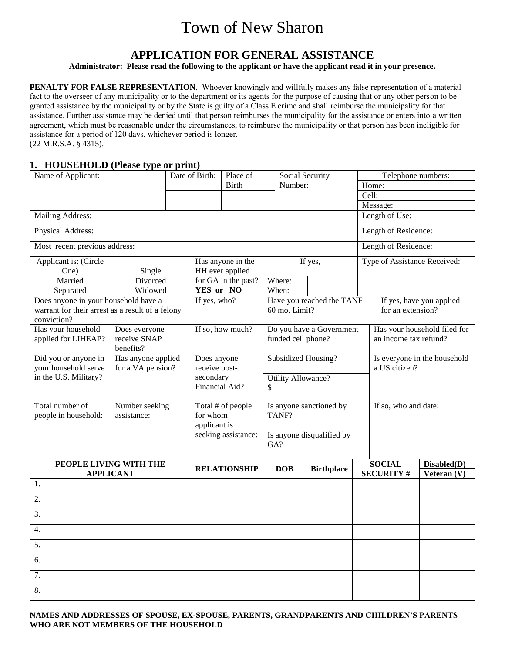# Town of New Sharon

# **APPLICATION FOR GENERAL ASSISTANCE**

**Administrator: Please read the following to the applicant or have the applicant read it in your presence.**

**PENALTY FOR FALSE REPRESENTATION.** Whoever knowingly and willfully makes any false representation of a material fact to the overseer of any municipality or to the department or its agents for the purpose of causing that or any other person to be granted assistance by the municipality or by the State is guilty of a Class E crime and shall reimburse the municipality for that assistance. Further assistance may be denied until that person reimburses the municipality for the assistance or enters into a written agreement, which must be reasonable under the circumstances, to reimburse the municipality or that person has been ineligible for assistance for a period of 120 days, whichever period is longer. (22 M.R.S.A. § 4315).

### **1. HOUSEHOLD (Please type or print)**

| Name of Applicant:                                              |                    |  | Date of Birth:    | Place of            | Social Security           |                           |                                                     |                      | Telephone numbers:           |  |
|-----------------------------------------------------------------|--------------------|--|-------------------|---------------------|---------------------------|---------------------------|-----------------------------------------------------|----------------------|------------------------------|--|
|                                                                 |                    |  |                   | <b>Birth</b>        | Number:                   |                           |                                                     | Home:                |                              |  |
|                                                                 |                    |  |                   |                     |                           |                           | Cell:                                               |                      |                              |  |
|                                                                 |                    |  |                   |                     |                           |                           |                                                     | Message:             |                              |  |
| Mailing Address:                                                |                    |  |                   |                     |                           |                           | Length of Use:                                      |                      |                              |  |
| Physical Address:                                               |                    |  |                   |                     |                           |                           |                                                     | Length of Residence: |                              |  |
| Most recent previous address:                                   |                    |  |                   |                     |                           |                           |                                                     | Length of Residence: |                              |  |
| Applicant is: (Circle                                           |                    |  |                   | Has anyone in the   |                           | If yes,                   |                                                     |                      | Type of Assistance Received: |  |
| One)                                                            | Single             |  |                   | HH ever applied     |                           |                           |                                                     |                      |                              |  |
| Married                                                         | Divorced           |  |                   | for GA in the past? | Where:                    |                           |                                                     |                      |                              |  |
| Separated                                                       | Widowed            |  | YES or NO         |                     | When:                     |                           |                                                     |                      |                              |  |
| Does anyone in your household have a                            |                    |  | If yes, who?      |                     |                           | Have you reached the TANF |                                                     |                      | If yes, have you applied     |  |
| warrant for their arrest as a result of a felony<br>conviction? |                    |  |                   |                     | 60 mo. Limit?             |                           |                                                     |                      | for an extension?            |  |
| Has your household                                              | Does everyone      |  |                   | If so, how much?    |                           | Do you have a Government  |                                                     |                      | Has your household filed for |  |
| applied for LIHEAP?                                             | receive SNAP       |  |                   |                     | funded cell phone?        |                           |                                                     |                      | an income tax refund?        |  |
|                                                                 | benefits?          |  |                   |                     |                           |                           |                                                     |                      |                              |  |
| Did you or anyone in                                            | Has anyone applied |  |                   | Does anyone         |                           |                           | Subsidized Housing?<br>Is everyone in the household |                      |                              |  |
| your household serve                                            | for a VA pension?  |  | receive post-     |                     |                           |                           |                                                     | a US citizen?        |                              |  |
| in the U.S. Military?                                           |                    |  | secondary         |                     | <b>Utility Allowance?</b> |                           |                                                     |                      |                              |  |
|                                                                 |                    |  | Financial Aid?    |                     | \$                        |                           |                                                     |                      |                              |  |
|                                                                 |                    |  |                   |                     |                           |                           |                                                     |                      |                              |  |
| Total number of                                                 | Number seeking     |  | Total # of people |                     |                           | Is anyone sanctioned by   |                                                     | If so, who and date: |                              |  |
| people in household:                                            | assistance:        |  | for whom          |                     | TANF?                     |                           |                                                     |                      |                              |  |
|                                                                 |                    |  | applicant is      |                     |                           |                           |                                                     |                      |                              |  |
|                                                                 |                    |  |                   | seeking assistance: |                           | Is anyone disqualified by |                                                     |                      |                              |  |
|                                                                 |                    |  |                   |                     | GA?                       |                           |                                                     |                      |                              |  |
| PEOPLE LIVING WITH THE                                          |                    |  |                   | <b>RELATIONSHIP</b> | <b>DOB</b>                | <b>Birthplace</b>         |                                                     | <b>SOCIAL</b>        | Disabled(D)                  |  |
| <b>APPLICANT</b>                                                |                    |  |                   |                     |                           |                           |                                                     | <b>SECURITY#</b>     | Veteran (V)                  |  |
| 1.                                                              |                    |  |                   |                     |                           |                           |                                                     |                      |                              |  |
| 2.                                                              |                    |  |                   |                     |                           |                           |                                                     |                      |                              |  |
| 3.                                                              |                    |  |                   |                     |                           |                           |                                                     |                      |                              |  |
| $\overline{4}$ .                                                |                    |  |                   |                     |                           |                           |                                                     |                      |                              |  |
| 5.                                                              |                    |  |                   |                     |                           |                           |                                                     |                      |                              |  |
| 6.                                                              |                    |  |                   |                     |                           |                           |                                                     |                      |                              |  |
| 7.                                                              |                    |  |                   |                     |                           |                           |                                                     |                      |                              |  |
| 8.                                                              |                    |  |                   |                     |                           |                           |                                                     |                      |                              |  |

**NAMES AND ADDRESSES OF SPOUSE, EX-SPOUSE, PARENTS, GRANDPARENTS AND CHILDREN'S PARENTS WHO ARE NOT MEMBERS OF THE HOUSEHOLD**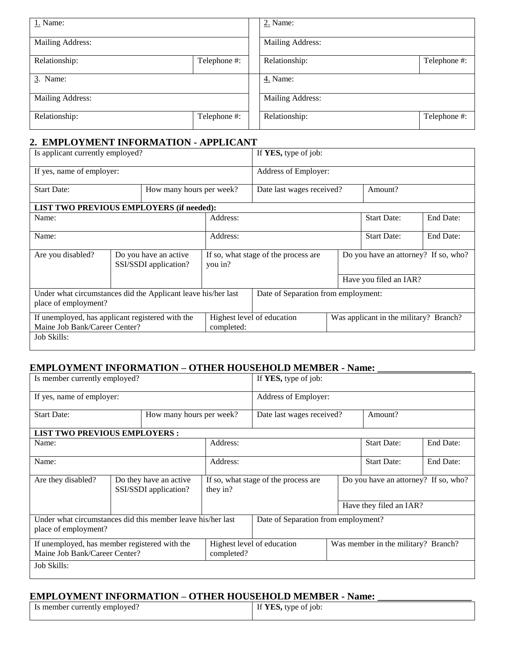| 1. Name:         |              |  | 2. Name:         |              |  |  |  |
|------------------|--------------|--|------------------|--------------|--|--|--|
| Mailing Address: |              |  | Mailing Address: |              |  |  |  |
| Relationship:    | Telephone #: |  | Relationship:    | Telephone #: |  |  |  |
| 3. Name:         |              |  | 4. Name:         |              |  |  |  |
| Mailing Address: |              |  | Mailing Address: |              |  |  |  |
| Relationship:    | Telephone #: |  | Relationship:    | Telephone #: |  |  |  |

# **2. EMPLOYMENT INFORMATION - APPLICANT**

| Is applicant currently employed?                                                                 |                          |                                                |            | If YES, type of job:                 |  |                                        |           |  |
|--------------------------------------------------------------------------------------------------|--------------------------|------------------------------------------------|------------|--------------------------------------|--|----------------------------------------|-----------|--|
| If yes, name of employer:                                                                        |                          |                                                |            | Address of Employer:                 |  |                                        |           |  |
| <b>Start Date:</b>                                                                               | How many hours per week? |                                                |            | Amount?<br>Date last wages received? |  |                                        |           |  |
| <b>LIST TWO PREVIOUS EMPLOYERS (if needed):</b>                                                  |                          |                                                |            |                                      |  |                                        |           |  |
| Name:                                                                                            |                          |                                                | Address:   |                                      |  | <b>Start Date:</b>                     | End Date: |  |
| Name:                                                                                            |                          |                                                | Address:   | <b>Start Date:</b>                   |  |                                        | End Date: |  |
| Are you disabled?                                                                                |                          | Do you have an active<br>SSI/SSDI application? | you in?    | If so, what stage of the process are |  | Do you have an attorney? If so, who?   |           |  |
|                                                                                                  |                          |                                                |            |                                      |  | Have you filed an IAR?                 |           |  |
| Under what circumstances did the Applicant leave his/her last<br>place of employment?            |                          |                                                |            | Date of Separation from employment:  |  |                                        |           |  |
| If unemployed, has applicant registered with the<br>Maine Job Bank/Career Center?<br>Job Skills: |                          |                                                | completed: | Highest level of education           |  | Was applicant in the military? Branch? |           |  |
|                                                                                                  |                          |                                                |            |                                      |  |                                        |           |  |

## **EMPLOYMENT INFORMATION – OTHER HOUSEHOLD MEMBER - Name: \_\_\_\_\_\_\_\_\_\_\_\_\_\_\_\_\_\_\_**

| Is member currently employed?                                                       |                          |                                                 | If YES, type of job: |                                      |  |                                      |           |  |
|-------------------------------------------------------------------------------------|--------------------------|-------------------------------------------------|----------------------|--------------------------------------|--|--------------------------------------|-----------|--|
| If yes, name of employer:                                                           |                          |                                                 |                      | Address of Employer:                 |  |                                      |           |  |
| <b>Start Date:</b>                                                                  | How many hours per week? |                                                 |                      | Date last wages received?<br>Amount? |  |                                      |           |  |
| <b>LIST TWO PREVIOUS EMPLOYERS:</b>                                                 |                          |                                                 |                      |                                      |  |                                      |           |  |
| Name:                                                                               |                          |                                                 | Address:             |                                      |  | <b>Start Date:</b>                   | End Date: |  |
| Name:                                                                               |                          |                                                 | Address:             | <b>Start Date:</b>                   |  |                                      | End Date: |  |
| Are they disabled?                                                                  |                          | Do they have an active<br>SSI/SSDI application? | they in?             | If so, what stage of the process are |  | Do you have an attorney? If so, who? |           |  |
|                                                                                     |                          |                                                 |                      |                                      |  | Have they filed an IAR?              |           |  |
| Under what circumstances did this member leave his/her last<br>place of employment? |                          |                                                 |                      | Date of Separation from employment?  |  |                                      |           |  |
| If unemployed, has member registered with the<br>Maine Job Bank/Career Center?      |                          |                                                 | completed?           | Highest level of education           |  | Was member in the military? Branch?  |           |  |
| Job Skills:                                                                         |                          |                                                 |                      |                                      |  |                                      |           |  |

# **EMPLOYMENT INFORMATION – OTHER HOUSEHOLD MEMBER - Name: \_\_\_\_\_\_\_\_\_\_\_\_\_\_\_\_\_\_\_**

| Is member currently employed?<br>. | If YES, type of job: |
|------------------------------------|----------------------|
|                                    |                      |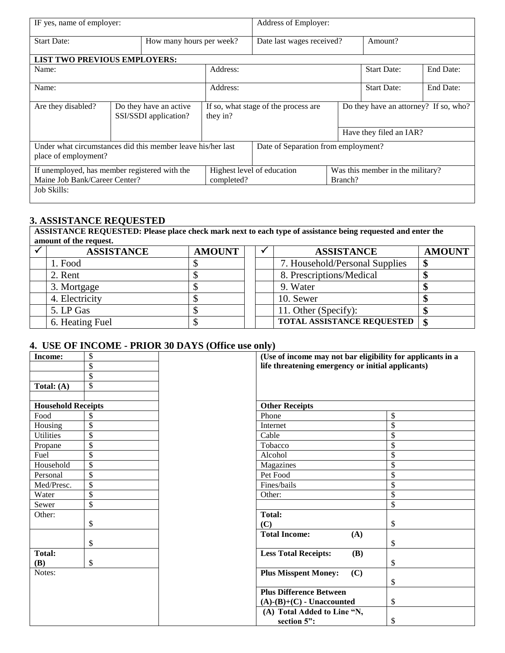| IF yes, name of employer:                                                           |  |                                                  | Address of Employer: |                                       |                                       |                                  |           |
|-------------------------------------------------------------------------------------|--|--------------------------------------------------|----------------------|---------------------------------------|---------------------------------------|----------------------------------|-----------|
| <b>Start Date:</b><br>How many hours per week?                                      |  |                                                  |                      | Date last wages received?             |                                       | Amount?                          |           |
| <b>LIST TWO PREVIOUS EMPLOYERS:</b>                                                 |  |                                                  |                      |                                       |                                       |                                  |           |
| Name:                                                                               |  |                                                  | Address:             |                                       |                                       | <b>Start Date:</b>               | End Date: |
| Name:                                                                               |  |                                                  | Address:             |                                       |                                       | <b>Start Date:</b>               | End Date: |
| Are they disabled?<br>Do they have an active<br>SSI/SSDI application?               |  | If so, what stage of the process are<br>they in? |                      |                                       | Do they have an attorney? If so, who? |                                  |           |
|                                                                                     |  |                                                  |                      |                                       |                                       | Have they filed an IAR?          |           |
| Under what circumstances did this member leave his/her last<br>place of employment? |  |                                                  |                      | Date of Separation from employment?   |                                       |                                  |           |
| If unemployed, has member registered with the<br>Maine Job Bank/Career Center?      |  |                                                  | completed?           | Highest level of education<br>Branch? |                                       | Was this member in the military? |           |
| Job Skills:                                                                         |  |                                                  |                      |                                       |                                       |                                  |           |

# **3. ASSISTANCE REQUESTED**

**ASSISTANCE REQUESTED: Please place check mark next to each type of assistance being requested and enter the amount of the request.**

| <b>ASSISTANCE</b> | <b>AMOUNT</b> |  | <b>ASSISTANCE</b>                 | <b>AMOUNT</b> |
|-------------------|---------------|--|-----------------------------------|---------------|
| 1. Food           |               |  | 7. Household/Personal Supplies    |               |
| 2. Rent           |               |  | 8. Prescriptions/Medical          |               |
| 3. Mortgage       |               |  | 9. Water                          |               |
| 4. Electricity    |               |  | 10. Sewer                         |               |
| 5. LP Gas         |               |  | 11. Other (Specify):              |               |
| 6. Heating Fuel   |               |  | <b>TOTAL ASSISTANCE REQUESTED</b> | -\$           |

# **4. USE OF INCOME - PRIOR 30 DAYS (Office use only)**

| Income:                   | \$                       | (Use of income may not bar eligibility for applicants in a |    |  |  |  |
|---------------------------|--------------------------|------------------------------------------------------------|----|--|--|--|
|                           | \$                       | life threatening emergency or initial applicants)          |    |  |  |  |
|                           | \$                       |                                                            |    |  |  |  |
| Total: $(A)$              | \$                       |                                                            |    |  |  |  |
|                           |                          |                                                            |    |  |  |  |
| <b>Household Receipts</b> |                          | <b>Other Receipts</b>                                      |    |  |  |  |
| Food                      | \$                       | Phone                                                      | \$ |  |  |  |
| Housing                   | $\overline{\mathcal{S}}$ | Internet                                                   | \$ |  |  |  |
| <b>Utilities</b>          | \$                       | Cable                                                      | \$ |  |  |  |
| Propane                   | \$                       | Tobacco                                                    | \$ |  |  |  |
| Fuel                      | $\overline{\$}$          | Alcohol                                                    | \$ |  |  |  |
| Household                 | \$                       | Magazines                                                  | \$ |  |  |  |
| Personal                  | \$                       | Pet Food                                                   | \$ |  |  |  |
| Med/Presc.                | \$                       | Fines/bails                                                | \$ |  |  |  |
| Water                     | \$                       | Other:                                                     | \$ |  |  |  |
| Sewer                     | \$                       |                                                            | \$ |  |  |  |
| Other:                    |                          | <b>Total:</b>                                              |    |  |  |  |
|                           | \$                       | (C)                                                        | \$ |  |  |  |
|                           |                          | <b>Total Income:</b><br>(A)                                |    |  |  |  |
|                           | \$                       |                                                            | \$ |  |  |  |
| <b>Total:</b>             |                          | <b>Less Total Receipts:</b><br><b>(B)</b>                  |    |  |  |  |
| <b>(B)</b>                | \$                       |                                                            | \$ |  |  |  |
| Notes:                    |                          | <b>Plus Misspent Money:</b><br>(C)                         |    |  |  |  |
|                           |                          |                                                            | \$ |  |  |  |
|                           |                          | <b>Plus Difference Between</b>                             |    |  |  |  |
|                           |                          | $(A)$ - $(B)$ + $(C)$ - Unaccounted                        | \$ |  |  |  |
|                           |                          | (A) Total Added to Line "N,                                |    |  |  |  |
|                           |                          | section 5":                                                | \$ |  |  |  |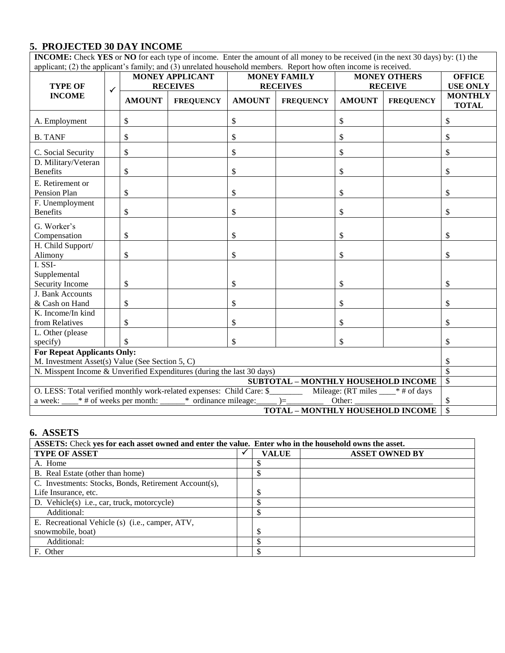# **5. PROJECTED 30 DAY INCOME**

| <b>INCOME:</b> Check YES or NO for each type of income. Enter the amount of all money to be received (in the next 30 days) by: (1) the                                                         |                                                                      |               |                        |               |                     |                 |                          |                                |  |
|------------------------------------------------------------------------------------------------------------------------------------------------------------------------------------------------|----------------------------------------------------------------------|---------------|------------------------|---------------|---------------------|-----------------|--------------------------|--------------------------------|--|
| applicant; (2) the applicant's family; and (3) unrelated household members. Report how often income is received.                                                                               |                                                                      |               |                        |               |                     |                 |                          |                                |  |
|                                                                                                                                                                                                |                                                                      |               | <b>MONEY APPLICANT</b> |               | <b>MONEY FAMILY</b> |                 | <b>MONEY OTHERS</b>      | <b>OFFICE</b>                  |  |
| <b>TYPE OF</b>                                                                                                                                                                                 | <b>RECEIVES</b><br><b>RECEIVES</b><br><b>RECEIVE</b><br>$\checkmark$ |               |                        |               |                     | <b>USE ONLY</b> |                          |                                |  |
| <b>INCOME</b>                                                                                                                                                                                  |                                                                      | <b>AMOUNT</b> | <b>FREQUENCY</b>       | <b>AMOUNT</b> | <b>FREQUENCY</b>    | <b>AMOUNT</b>   | <b>FREQUENCY</b>         | <b>MONTHLY</b><br><b>TOTAL</b> |  |
| A. Employment                                                                                                                                                                                  |                                                                      | \$            |                        | \$            |                     | \$              |                          | \$                             |  |
| <b>B. TANF</b>                                                                                                                                                                                 |                                                                      | \$            |                        | \$            |                     | \$              |                          | \$                             |  |
| C. Social Security                                                                                                                                                                             |                                                                      | \$            |                        | \$            |                     | \$              |                          | \$                             |  |
| D. Military/Veteran                                                                                                                                                                            |                                                                      |               |                        |               |                     |                 |                          |                                |  |
| <b>Benefits</b>                                                                                                                                                                                |                                                                      | \$            |                        | \$            |                     | \$              |                          | \$                             |  |
| E. Retirement or                                                                                                                                                                               |                                                                      |               |                        |               |                     |                 |                          |                                |  |
| Pension Plan                                                                                                                                                                                   |                                                                      | \$            |                        | \$            |                     | \$              |                          | \$                             |  |
| F. Unemployment                                                                                                                                                                                |                                                                      |               |                        |               |                     |                 |                          |                                |  |
| <b>Benefits</b>                                                                                                                                                                                |                                                                      | \$            |                        | \$            |                     | \$              |                          | \$                             |  |
| G. Worker's                                                                                                                                                                                    |                                                                      |               |                        |               |                     |                 |                          |                                |  |
| Compensation                                                                                                                                                                                   |                                                                      | \$            |                        | \$            |                     | \$              |                          | \$                             |  |
| H. Child Support/                                                                                                                                                                              |                                                                      |               |                        |               |                     |                 |                          |                                |  |
| Alimony                                                                                                                                                                                        |                                                                      | \$            |                        | \$            |                     | \$              |                          | \$                             |  |
| I. SSI-                                                                                                                                                                                        |                                                                      |               |                        |               |                     |                 |                          |                                |  |
| Supplemental                                                                                                                                                                                   |                                                                      |               |                        |               |                     |                 |                          |                                |  |
| Security Income                                                                                                                                                                                |                                                                      | \$            |                        | \$            |                     | \$              |                          | \$                             |  |
| J. Bank Accounts                                                                                                                                                                               |                                                                      |               |                        |               |                     |                 |                          |                                |  |
| & Cash on Hand                                                                                                                                                                                 |                                                                      | \$            |                        | \$            |                     | \$              |                          | \$                             |  |
| K. Income/In kind                                                                                                                                                                              |                                                                      |               |                        |               |                     |                 |                          |                                |  |
| from Relatives                                                                                                                                                                                 |                                                                      | \$            |                        | \$            |                     | \$              |                          | \$                             |  |
| L. Other (please                                                                                                                                                                               |                                                                      |               |                        |               |                     |                 |                          |                                |  |
| specify)                                                                                                                                                                                       |                                                                      | \$            |                        | \$            |                     | \$              |                          | \$                             |  |
| <b>For Repeat Applicants Only:</b>                                                                                                                                                             |                                                                      |               |                        |               |                     |                 |                          |                                |  |
| M. Investment Asset(s) Value (See Section 5, C)<br>\$<br>N. Misspent Income & Unverified Expenditures (during the last 30 days)                                                                |                                                                      |               |                        |               |                     |                 | $\overline{\mathcal{S}}$ |                                |  |
|                                                                                                                                                                                                |                                                                      |               |                        |               |                     |                 |                          |                                |  |
| SUBTOTAL - MONTHLY HOUSEHOLD INCOME<br>$\mathsf{\$}$                                                                                                                                           |                                                                      |               |                        |               |                     |                 |                          |                                |  |
| O. LESS: Total verified monthly work-related expenses: Child Care: \$___________ Mileage: (RT miles ____* # of days<br>* # of weeks per month: ______<br>* ordinance mileage:<br>Other:<br>$=$ |                                                                      |               |                        |               |                     |                 |                          | \$                             |  |
| a week:                                                                                                                                                                                        |                                                                      |               |                        |               |                     |                 |                          | $\overline{\mathbb{S}}$        |  |
| <b>TOTAL - MONTHLY HOUSEHOLD INCOME</b>                                                                                                                                                        |                                                                      |               |                        |               |                     |                 |                          |                                |  |

# **6. ASSETS**

| ASSETS: Check yes for each asset owned and enter the value. Enter who in the household owns the asset. |  |              |                       |  |  |  |  |
|--------------------------------------------------------------------------------------------------------|--|--------------|-----------------------|--|--|--|--|
| <b>TYPE OF ASSET</b>                                                                                   |  | <b>VALUE</b> | <b>ASSET OWNED BY</b> |  |  |  |  |
| A. Home                                                                                                |  | S            |                       |  |  |  |  |
| B. Real Estate (other than home)                                                                       |  |              |                       |  |  |  |  |
| C. Investments: Stocks, Bonds, Retirement Account(s),                                                  |  |              |                       |  |  |  |  |
| Life Insurance, etc.                                                                                   |  | \$           |                       |  |  |  |  |
| D. Vehicle(s) i.e., car, truck, motorcycle)                                                            |  |              |                       |  |  |  |  |
| Additional:                                                                                            |  | \$           |                       |  |  |  |  |
| E. Recreational Vehicle (s) (i.e., camper, ATV,                                                        |  |              |                       |  |  |  |  |
| snowmobile, boat)                                                                                      |  | \$           |                       |  |  |  |  |
| Additional:                                                                                            |  | \$           |                       |  |  |  |  |
| F. Other                                                                                               |  | \$           |                       |  |  |  |  |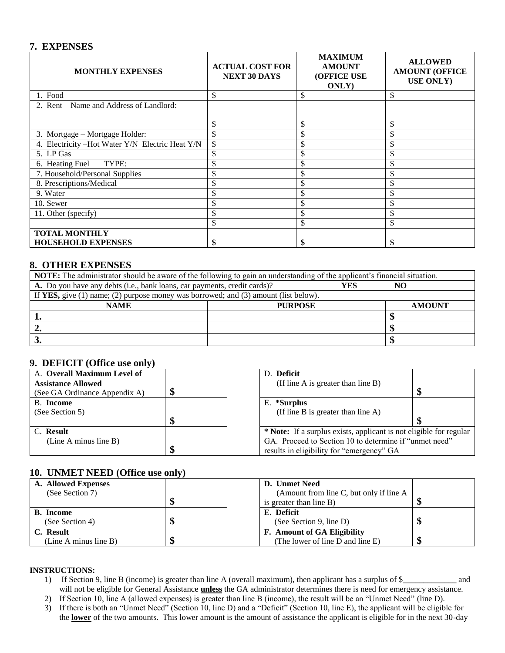### **7. EXPENSES**

| <b>MONTHLY EXPENSES</b>                          | <b>ACTUAL COST FOR</b><br><b>NEXT 30 DAYS</b> | <b>MAXIMUM</b><br><b>AMOUNT</b><br><b>(OFFICE USE</b><br><b>ONLY</b> ) | <b>ALLOWED</b><br><b>AMOUNT (OFFICE</b><br><b>USE ONLY</b> ) |
|--------------------------------------------------|-----------------------------------------------|------------------------------------------------------------------------|--------------------------------------------------------------|
| 1. Food                                          | \$                                            | \$                                                                     | \$                                                           |
| 2. Rent – Name and Address of Landlord:          |                                               |                                                                        |                                                              |
|                                                  | \$                                            | S                                                                      | \$                                                           |
| 3. Mortgage – Mortgage Holder:                   | \$                                            | \$                                                                     | \$                                                           |
| 4. Electricity - Hot Water Y/N Electric Heat Y/N | \$                                            | ъ.                                                                     | \$                                                           |
| 5. LP Gas                                        | \$                                            | \$                                                                     | \$                                                           |
| TYPE:<br>6. Heating Fuel                         |                                               | \$                                                                     | \$                                                           |
| 7. Household/Personal Supplies                   | \$                                            | \$                                                                     | \$                                                           |
| 8. Prescriptions/Medical                         |                                               |                                                                        | ъ.                                                           |
| 9. Water                                         |                                               | \$                                                                     | <sup>\$</sup>                                                |
| 10. Sewer                                        |                                               | \$                                                                     | \$                                                           |
| 11. Other (specify)                              | \$                                            | \$                                                                     | \$                                                           |
|                                                  | \$                                            | \$                                                                     | \$                                                           |
| <b>TOTAL MONTHLY</b>                             |                                               |                                                                        |                                                              |
| <b>HOUSEHOLD EXPENSES</b>                        |                                               |                                                                        |                                                              |

### **8. OTHER EXPENSES**

| NOTE: The administrator should be aware of the following to gain an understanding of the applicant's financial situation. |                |  |               |  |  |  |  |
|---------------------------------------------------------------------------------------------------------------------------|----------------|--|---------------|--|--|--|--|
| A. Do you have any debts (i.e., bank loans, car payments, credit cards)?<br>YES<br>N <sub>C</sub>                         |                |  |               |  |  |  |  |
| If YES, give $(1)$ name; $(2)$ purpose money was borrowed; and $(3)$ amount (list below).                                 |                |  |               |  |  |  |  |
| <b>NAME</b>                                                                                                               | <b>PURPOSE</b> |  | <b>AMOUNT</b> |  |  |  |  |
|                                                                                                                           |                |  |               |  |  |  |  |
|                                                                                                                           |                |  |               |  |  |  |  |
|                                                                                                                           |                |  |               |  |  |  |  |

## **9. DEFICIT (Office use only)**

| A. Overall Maximum Level of   | D. Deficit                                                         |  |
|-------------------------------|--------------------------------------------------------------------|--|
| <b>Assistance Allowed</b>     | (If line A is greater than line B)                                 |  |
| (See GA Ordinance Appendix A) |                                                                    |  |
| B. Income                     | E. *Surplus                                                        |  |
| (See Section 5)               | (If line B is greater than line $A$ )                              |  |
|                               |                                                                    |  |
| C. Result                     | * Note: If a surplus exists, applicant is not eligible for regular |  |
| (Line A minus line B)         | GA. Proceed to Section 10 to determine if "unmet need"             |  |
|                               | results in eligibility for "emergency" GA                          |  |

# **10. UNMET NEED (Office use only)**

| A. Allowed Expenses   |  | D. Unmet Need                           |  |
|-----------------------|--|-----------------------------------------|--|
| (See Section 7)       |  | (Amount from line C, but only if line A |  |
|                       |  | is greater than line B)                 |  |
| <b>B.</b> Income      |  | E. Deficit                              |  |
| (See Section 4)       |  | (See Section 9, line D)                 |  |
| C. Result             |  | <b>F.</b> Amount of GA Eligibility      |  |
| (Line A minus line B) |  | (The lower of line D and line E)        |  |

#### **INSTRUCTIONS:**

- 1) If Section 9, line B (income) is greater than line A (overall maximum), then applicant has a surplus of \$\_\_\_\_\_\_\_\_\_\_\_\_\_ and will not be eligible for General Assistance **unless** the GA administrator determines there is need for emergency assistance.
- 2) If Section 10, line A (allowed expenses) is greater than line B (income), the result will be an "Unmet Need" (line D).
- 3) If there is both an "Unmet Need" (Section 10, line D) and a "Deficit" (Section 10, line E), the applicant will be eligible for the **lower** of the two amounts. This lower amount is the amount of assistance the applicant is eligible for in the next 30-day